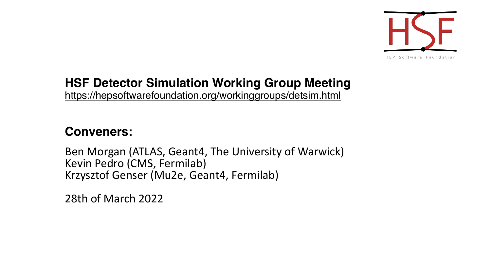## **HSF Detector Simulation Working Group M** https://hepsoftwarefoundation.org/workinggroups/detsin

## **Conveners:**

Ben Morgan (ATLAS, Geant4, The University of Wa Kevin Pedro (CMS, Fermilab) Krzysztof Genser (Mu2e, Geant4, Fermilab)

28th of March 2022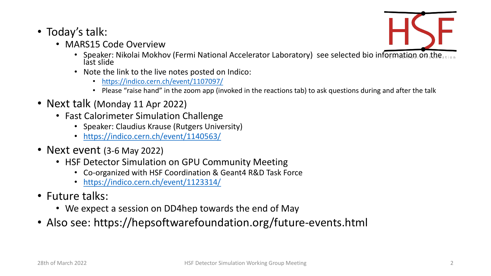- Today's talk:
	- MARS15 Code Overview
		- Speaker: Nikolai Mokhov [\(Fermi Nation](https://indico.cern.ch/event/1123314/)al Accelerator Laboratory)<br>last slide
		- Note the link to the live notes posted on Indico:
			- https://indico.cern.ch/event/1107097/
			- Please "raise hand" in the zoom app (invoked in the reactions tab) to
- Next talk (Monday 11 Apr 2022)
	- Fast Calorimeter Simulation Challenge
		- Speaker: Claudius Krause (Rutgers University)
		- https://indico.cern.ch/event/1140563/
- Next event (3-6 May 2022)
	- HSF Detector Simulation on GPU Community Meeting
		- Co-organized with HSF Coordination & Geant4 R&D Task Force
		- https://indico.cern.ch/event/1123314/
- Future talks:
	- We expect a session on DD4hep towards the end of May
- Also see: https://hepsoftwarefoundation.org/future-e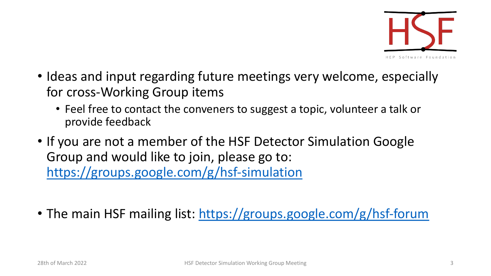- Ideas and input regarding future meetings ver for cross-Working Group items
	- Feel free to contact the conveners to suggest a top provide feedback
- If you are not a member of the HSF Detector S Group and would like to join, please go to: https://groups.google.com/g/hsf-simulation
- The main HSF mailing list: https://groups.goog